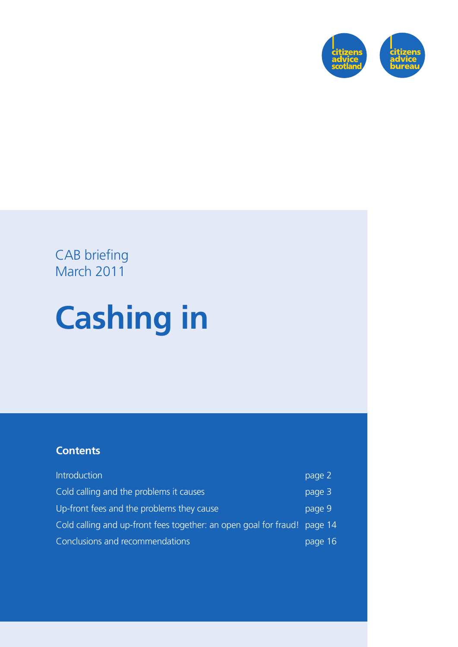

### CAB briefing March 2011

# **Cashing in**

#### **Contents**

| Introduction                                                             | page 2  |
|--------------------------------------------------------------------------|---------|
| Cold calling and the problems it causes                                  | page 3  |
| Up-front fees and the problems they cause                                | page 9  |
| Cold calling and up-front fees together: an open goal for fraud! page 14 |         |
| Conclusions and recommendations                                          | page 16 |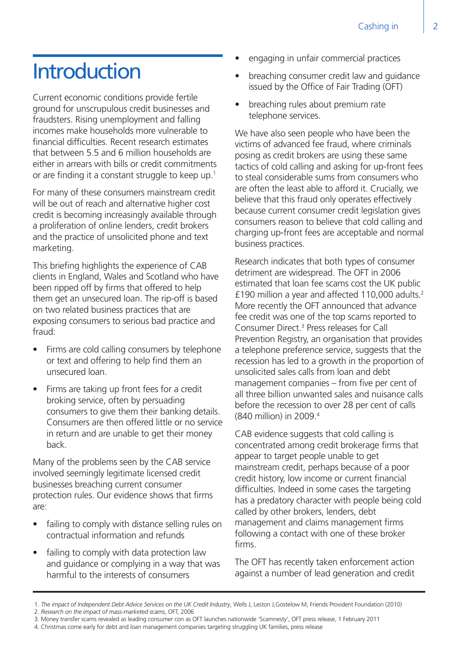### **Introduction**

Current economic conditions provide fertile ground for unscrupulous credit businesses and fraudsters. Rising unemployment and falling incomes make households more vulnerable to financial difficulties. Recent research estimates that between 5.5 and 6 million households are either in arrears with bills or credit commitments or are finding it a constant struggle to keep up.1

For many of these consumers mainstream credit will be out of reach and alternative higher cost credit is becoming increasingly available through a proliferation of online lenders, credit brokers and the practice of unsolicited phone and text marketing.

This briefing highlights the experience of CAB clients in England, Wales and Scotland who have been ripped off by firms that offered to help them get an unsecured loan. The rip-off is based on two related business practices that are exposing consumers to serious bad practice and fraud:

- Firms are cold calling consumers by telephone or text and offering to help find them an unsecured loan.
- Firms are taking up front fees for a credit broking service, often by persuading consumers to give them their banking details. Consumers are then offered little or no service in return and are unable to get their money back.

Many of the problems seen by the CAB service involved seemingly legitimate licensed credit businesses breaching current consumer protection rules. Our evidence shows that firms are:

- failing to comply with distance selling rules on contractual information and refunds
- failing to comply with data protection law and guidance or complying in a way that was harmful to the interests of consumers
- engaging in unfair commercial practices
- breaching consumer credit law and guidance issued by the Office of Fair Trading (OFT)
- breaching rules about premium rate telephone services.

We have also seen people who have been the victims of advanced fee fraud, where criminals posing as credit brokers are using these same tactics of cold calling and asking for up-front fees to steal considerable sums from consumers who are often the least able to afford it. Crucially, we believe that this fraud only operates effectively because current consumer credit legislation gives consumers reason to believe that cold calling and charging up-front fees are acceptable and normal business practices.

Research indicates that both types of consumer detriment are widespread. The OFT in 2006 estimated that loan fee scams cost the UK public £190 million a year and affected 110,000 adults.2 More recently the OFT announced that advance fee credit was one of the top scams reported to Consumer Direct.<sup>3</sup> Press releases for Call Prevention Registry, an organisation that provides a telephone preference service, suggests that the recession has led to a growth in the proportion of unsolicited sales calls from loan and debt management companies – from five per cent of all three billion unwanted sales and nuisance calls before the recession to over 28 per cent of calls (840 million) in 2009.4

CAB evidence suggests that cold calling is concentrated among credit brokerage firms that appear to target people unable to get mainstream credit, perhaps because of a poor credit history, low income or current financial difficulties. Indeed in some cases the targeting has a predatory character with people being cold called by other brokers, lenders, debt management and claims management firms following a contact with one of these broker firms.

The OFT has recently taken enforcement action against a number of lead generation and credit

4. Christmas come early for debt and loan management companies targeting struggling UK families, press release

 <sup>1.</sup> *The impact of Independent Debt Advice Services on the UK Credit Industry*, Wells J, Leston J,Gostelow M, Friends Provident Foundation (2010)

 <sup>2.</sup> *Research on the impact of mass-marketed scams*, OFT, 2006

 <sup>3.</sup> Money transfer scams revealed as leading consumer con as OFT launches nationwide 'Scamnesty', OFT press release, 1 February 2011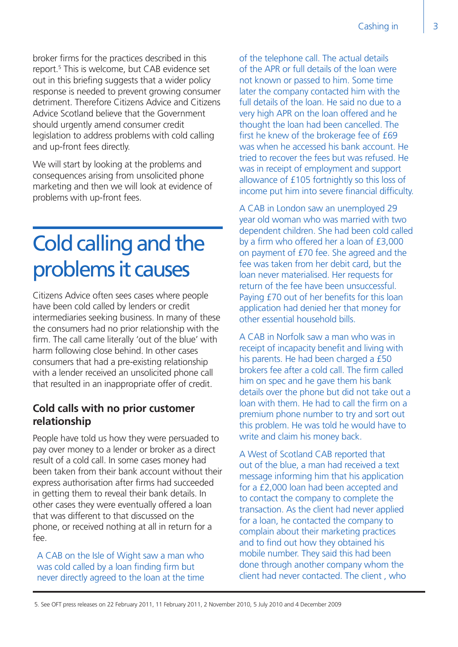broker firms for the practices described in this report.5 This is welcome, but CAB evidence set out in this briefing suggests that a wider policy response is needed to prevent growing consumer detriment. Therefore Citizens Advice and Citizens Advice Scotland believe that the Government should urgently amend consumer credit legislation to address problems with cold calling and up-front fees directly.

We will start by looking at the problems and consequences arising from unsolicited phone marketing and then we will look at evidence of problems with up-front fees.

### Cold calling and the problems it causes

Citizens Advice often sees cases where people have been cold called by lenders or credit intermediaries seeking business. In many of these the consumers had no prior relationship with the firm. The call came literally 'out of the blue' with harm following close behind. In other cases consumers that had a pre-existing relationship with a lender received an unsolicited phone call that resulted in an inappropriate offer of credit.

#### **Cold calls with no prior customer relationship**

People have told us how they were persuaded to pay over money to a lender or broker as a direct result of a cold call. In some cases money had been taken from their bank account without their express authorisation after firms had succeeded in getting them to reveal their bank details. In other cases they were eventually offered a loan that was different to that discussed on the phone, or received nothing at all in return for a  $f_{\rho\rho}$ 

A CAB on the Isle of Wight saw a man who was cold called by a loan finding firm but never directly agreed to the loan at the time

of the telephone call. The actual details of the APR or full details of the loan were not known or passed to him. Some time later the company contacted him with the full details of the loan. He said no due to a very high APR on the loan offered and he thought the loan had been cancelled. The first he knew of the brokerage fee of £69 was when he accessed his bank account. He tried to recover the fees but was refused. He was in receipt of employment and support allowance of £105 fortnightly so this loss of income put him into severe financial difficulty.

A CAB in London saw an unemployed 29 year old woman who was married with two dependent children. She had been cold called by a firm who offered her a loan of £3,000 on payment of £70 fee. She agreed and the fee was taken from her debit card, but the loan never materialised. Her requests for return of the fee have been unsuccessful. Paying £70 out of her benefits for this loan application had denied her that money for other essential household bills.

A CAB in Norfolk saw a man who was in receipt of incapacity benefit and living with his parents. He had been charged a £50 brokers fee after a cold call. The firm called him on spec and he gave them his bank details over the phone but did not take out a loan with them. He had to call the firm on a premium phone number to try and sort out this problem. He was told he would have to write and claim his money back.

A West of Scotland CAB reported that out of the blue, a man had received a text message informing him that his application for a £2,000 loan had been accepted and to contact the company to complete the transaction. As the client had never applied for a loan, he contacted the company to complain about their marketing practices and to find out how they obtained his mobile number. They said this had been done through another company whom the client had never contacted. The client , who

 <sup>5.</sup> See OFT press releases on 22 February 2011, 11 February 2011, 2 November 2010, 5 July 2010 and 4 December 2009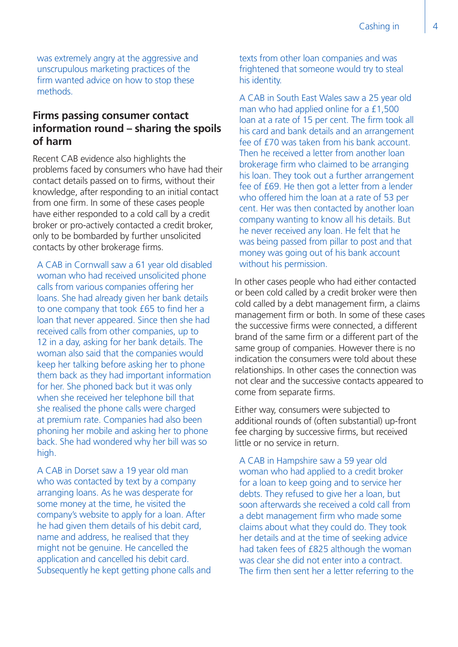was extremely angry at the aggressive and unscrupulous marketing practices of the firm wanted advice on how to stop these methods.

#### **Firms passing consumer contact information round – sharing the spoils of harm**

Recent CAB evidence also highlights the problems faced by consumers who have had their contact details passed on to firms, without their knowledge, after responding to an initial contact from one firm. In some of these cases people have either responded to a cold call by a credit broker or pro-actively contacted a credit broker, only to be bombarded by further unsolicited contacts by other brokerage firms.

A CAB in Cornwall saw a 61 year old disabled woman who had received unsolicited phone calls from various companies offering her loans. She had already given her bank details to one company that took £65 to find her a loan that never appeared. Since then she had received calls from other companies, up to 12 in a day, asking for her bank details. The woman also said that the companies would keep her talking before asking her to phone them back as they had important information for her. She phoned back but it was only when she received her telephone bill that she realised the phone calls were charged at premium rate. Companies had also been phoning her mobile and asking her to phone back. She had wondered why her bill was so high.

A CAB in Dorset saw a 19 year old man who was contacted by text by a company arranging loans. As he was desperate for some money at the time, he visited the company's website to apply for a loan. After he had given them details of his debit card, name and address, he realised that they might not be genuine. He cancelled the application and cancelled his debit card. Subsequently he kept getting phone calls and

texts from other loan companies and was frightened that someone would try to steal his identity.

A CAB in South East Wales saw a 25 year old man who had applied online for a £1,500 loan at a rate of 15 per cent. The firm took all his card and bank details and an arrangement fee of £70 was taken from his bank account. Then he received a letter from another loan brokerage firm who claimed to be arranging his loan. They took out a further arrangement fee of £69. He then got a letter from a lender who offered him the loan at a rate of 53 per cent. Her was then contacted by another loan company wanting to know all his details. But he never received any loan. He felt that he was being passed from pillar to post and that money was going out of his bank account without his permission.

In other cases people who had either contacted or been cold called by a credit broker were then cold called by a debt management firm, a claims management firm or both. In some of these cases the successive firms were connected, a different brand of the same firm or a different part of the same group of companies. However there is no indication the consumers were told about these relationships. In other cases the connection was not clear and the successive contacts appeared to come from separate firms.

Either way, consumers were subjected to additional rounds of (often substantial) up-front fee charging by successive firms, but received little or no service in return.

A CAB in Hampshire saw a 59 year old woman who had applied to a credit broker for a loan to keep going and to service her debts. They refused to give her a loan, but soon afterwards she received a cold call from a debt management firm who made some claims about what they could do. They took her details and at the time of seeking advice had taken fees of £825 although the woman was clear she did not enter into a contract. The firm then sent her a letter referring to the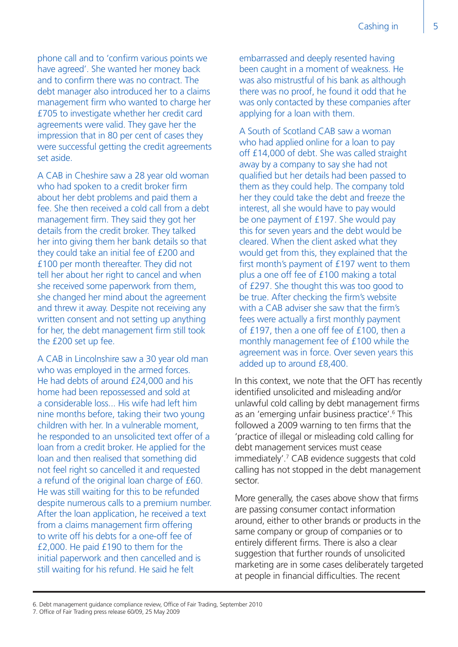phone call and to 'confirm various points we have agreed'. She wanted her money back and to confirm there was no contract. The debt manager also introduced her to a claims management firm who wanted to charge her £705 to investigate whether her credit card agreements were valid. They gave her the impression that in 80 per cent of cases they were successful getting the credit agreements set aside.

A CAB in Cheshire saw a 28 year old woman who had spoken to a credit broker firm about her debt problems and paid them a fee. She then received a cold call from a debt management firm. They said they got her details from the credit broker. They talked her into giving them her bank details so that they could take an initial fee of £200 and £100 per month thereafter. They did not tell her about her right to cancel and when she received some paperwork from them, she changed her mind about the agreement and threw it away. Despite not receiving any written consent and not setting up anything for her, the debt management firm still took the £200 set up fee.

A CAB in Lincolnshire saw a 30 year old man who was employed in the armed forces. He had debts of around £24,000 and his home had been repossessed and sold at a considerable loss... His wife had left him nine months before, taking their two young children with her. In a vulnerable moment, he responded to an unsolicited text offer of a loan from a credit broker. He applied for the loan and then realised that something did not feel right so cancelled it and requested a refund of the original loan charge of £60. He was still waiting for this to be refunded despite numerous calls to a premium number. After the loan application, he received a text from a claims management firm offering to write off his debts for a one-off fee of £2,000. He paid £190 to them for the initial paperwork and then cancelled and is still waiting for his refund. He said he felt

embarrassed and deeply resented having been caught in a moment of weakness. He was also mistrustful of his bank as although there was no proof, he found it odd that he was only contacted by these companies after applying for a loan with them.

A South of Scotland CAB saw a woman who had applied online for a loan to pay off £14,000 of debt. She was called straight away by a company to say she had not qualified but her details had been passed to them as they could help. The company told her they could take the debt and freeze the interest, all she would have to pay would be one payment of £197. She would pay this for seven years and the debt would be cleared. When the client asked what they would get from this, they explained that the first month's payment of £197 went to them plus a one off fee of £100 making a total of £297. She thought this was too good to be true. After checking the firm's website with a CAB adviser she saw that the firm's fees were actually a first monthly payment of £197, then a one off fee of £100, then a monthly management fee of £100 while the agreement was in force. Over seven years this added up to around £8,400.

In this context, we note that the OFT has recently identified unsolicited and misleading and/or unlawful cold calling by debt management firms as an 'emerging unfair business practice'.<sup>6</sup> This followed a 2009 warning to ten firms that the 'practice of illegal or misleading cold calling for debt management services must cease immediately'.7 CAB evidence suggests that cold calling has not stopped in the debt management sector.

More generally, the cases above show that firms are passing consumer contact information around, either to other brands or products in the same company or group of companies or to entirely different firms. There is also a clear suggestion that further rounds of unsolicited marketing are in some cases deliberately targeted at people in financial difficulties. The recent

<sup>6.</sup> Debt management guidance compliance review, Office of Fair Trading, September 2010

<sup>7.</sup> Office of Fair Trading press release 60/09, 25 May 2009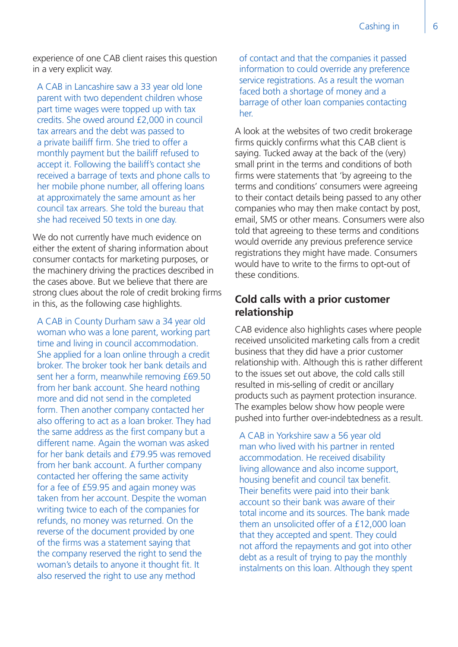experience of one CAB client raises this question in a very explicit way.

A CAB in Lancashire saw a 33 year old lone parent with two dependent children whose part time wages were topped up with tax credits. She owed around £2,000 in council tax arrears and the debt was passed to a private bailiff firm. She tried to offer a monthly payment but the bailiff refused to accept it. Following the bailiff's contact she received a barrage of texts and phone calls to her mobile phone number, all offering loans at approximately the same amount as her council tax arrears. She told the bureau that she had received 50 texts in one day.

We do not currently have much evidence on either the extent of sharing information about consumer contacts for marketing purposes, or the machinery driving the practices described in the cases above. But we believe that there are strong clues about the role of credit broking firms in this, as the following case highlights.

A CAB in County Durham saw a 34 year old woman who was a lone parent, working part time and living in council accommodation. She applied for a loan online through a credit broker. The broker took her bank details and sent her a form, meanwhile removing £69.50 from her bank account. She heard nothing more and did not send in the completed form. Then another company contacted her also offering to act as a loan broker. They had the same address as the first company but a different name. Again the woman was asked for her bank details and £79.95 was removed from her bank account. A further company contacted her offering the same activity for a fee of £59.95 and again money was taken from her account. Despite the woman writing twice to each of the companies for refunds, no money was returned. On the reverse of the document provided by one of the firms was a statement saying that the company reserved the right to send the woman's details to anyone it thought fit. It also reserved the right to use any method

of contact and that the companies it passed information to could override any preference service registrations. As a result the woman faced both a shortage of money and a barrage of other loan companies contacting her.

A look at the websites of two credit brokerage firms quickly confirms what this CAB client is saying. Tucked away at the back of the (very) small print in the terms and conditions of both firms were statements that 'by agreeing to the terms and conditions' consumers were agreeing to their contact details being passed to any other companies who may then make contact by post, email, SMS or other means. Consumers were also told that agreeing to these terms and conditions would override any previous preference service registrations they might have made. Consumers would have to write to the firms to opt-out of these conditions.

#### **Cold calls with a prior customer relationship**

CAB evidence also highlights cases where people received unsolicited marketing calls from a credit business that they did have a prior customer relationship with. Although this is rather different to the issues set out above, the cold calls still resulted in mis-selling of credit or ancillary products such as payment protection insurance. The examples below show how people were pushed into further over-indebtedness as a result.

A CAB in Yorkshire saw a 56 year old man who lived with his partner in rented accommodation. He received disability living allowance and also income support, housing benefit and council tax benefit. Their benefits were paid into their bank account so their bank was aware of their total income and its sources. The bank made them an unsolicited offer of a £12,000 loan that they accepted and spent. They could not afford the repayments and got into other debt as a result of trying to pay the monthly instalments on this loan. Although they spent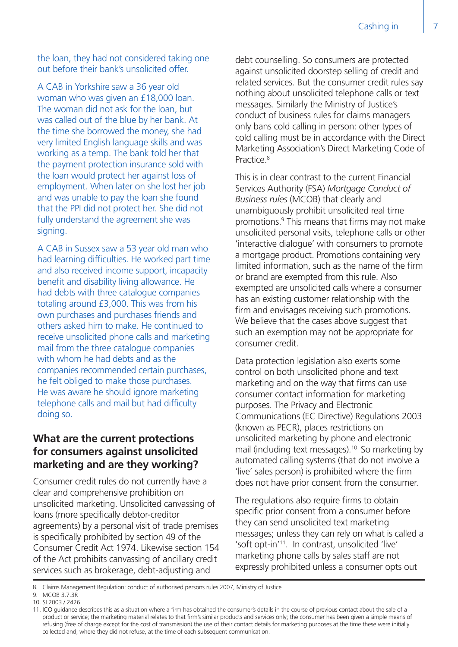the loan, they had not considered taking one out before their bank's unsolicited offer.

A CAB in Yorkshire saw a 36 year old woman who was given an £18,000 loan. The woman did not ask for the loan, but was called out of the blue by her bank. At the time she borrowed the money, she had very limited English language skills and was working as a temp. The bank told her that the payment protection insurance sold with the loan would protect her against loss of employment. When later on she lost her job and was unable to pay the loan she found that the PPI did not protect her. She did not fully understand the agreement she was signing.

A CAB in Sussex saw a 53 year old man who had learning difficulties. He worked part time and also received income support, incapacity benefit and disability living allowance. He had debts with three catalogue companies totaling around £3,000. This was from his own purchases and purchases friends and others asked him to make. He continued to receive unsolicited phone calls and marketing mail from the three catalogue companies with whom he had debts and as the companies recommended certain purchases, he felt obliged to make those purchases. He was aware he should ignore marketing telephone calls and mail but had difficulty doing so.

#### **What are the current protections for consumers against unsolicited marketing and are they working?**

Consumer credit rules do not currently have a clear and comprehensive prohibition on unsolicited marketing. Unsolicited canvassing of loans (more specifically debtor-creditor agreements) by a personal visit of trade premises is specifically prohibited by section 49 of the Consumer Credit Act 1974. Likewise section 154 of the Act prohibits canvassing of ancillary credit services such as brokerage, debt-adjusting and

debt counselling. So consumers are protected against unsolicited doorstep selling of credit and related services. But the consumer credit rules say nothing about unsolicited telephone calls or text messages. Similarly the Ministry of Justice's conduct of business rules for claims managers only bans cold calling in person: other types of cold calling must be in accordance with the Direct Marketing Association's Direct Marketing Code of Practice.8

This is in clear contrast to the current Financial Services Authority (FSA) *Mortgage Conduct of Business rules* (MCOB) that clearly and unambiguously prohibit unsolicited real time promotions.9 This means that firms may not make unsolicited personal visits, telephone calls or other 'interactive dialogue' with consumers to promote a mortgage product. Promotions containing very limited information, such as the name of the firm or brand are exempted from this rule. Also exempted are unsolicited calls where a consumer has an existing customer relationship with the firm and envisages receiving such promotions. We believe that the cases above suggest that such an exemption may not be appropriate for consumer credit.

Data protection legislation also exerts some control on both unsolicited phone and text marketing and on the way that firms can use consumer contact information for marketing purposes. The Privacy and Electronic Communications (EC Directive) Regulations 2003 (known as PECR), places restrictions on unsolicited marketing by phone and electronic mail (including text messages).<sup>10</sup> So marketing by automated calling systems (that do not involve a 'live' sales person) is prohibited where the firm does not have prior consent from the consumer.

The regulations also require firms to obtain specific prior consent from a consumer before they can send unsolicited text marketing messages; unless they can rely on what is called a 'soft opt-in'11. In contrast, unsolicited 'live' marketing phone calls by sales staff are not expressly prohibited unless a consumer opts out

<sup>8.</sup> Claims Management Regulation: conduct of authorised persons rules 2007, Ministry of Justice

<sup>9.</sup> MCOB 3.7.3R

<sup>10.</sup> SI 2003 / 2426

<sup>11.</sup> ICO guidance describes this as a situation where a firm has obtained the consumer's details in the course of previous contact about the sale of a product or service; the marketing material relates to that firm's similar products and services only; the consumer has been given a simple means of refusing (free of charge except for the cost of transmission) the use of their contact details for marketing purposes at the time these were initially collected and, where they did not refuse, at the time of each subsequent communication.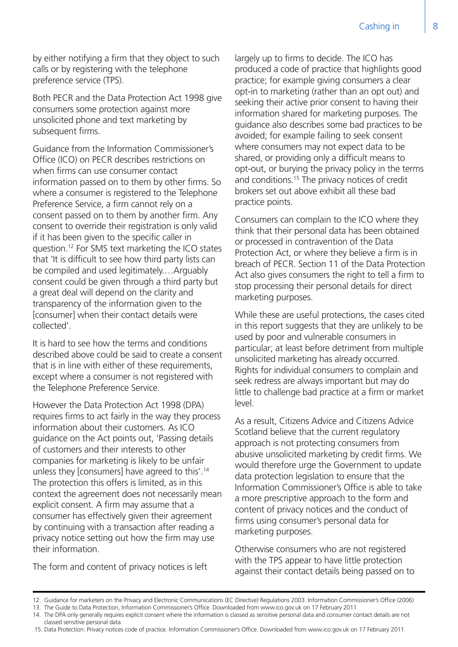by either notifying a firm that they object to such calls or by registering with the telephone preference service (TPS).

Both PECR and the Data Protection Act 1998 give consumers some protection against more unsolicited phone and text marketing by subsequent firms.

Guidance from the Information Commissioner's Office (ICO) on PECR describes restrictions on when firms can use consumer contact information passed on to them by other firms. So where a consumer is registered to the Telephone Preference Service, a firm cannot rely on a consent passed on to them by another firm. Any consent to override their registration is only valid if it has been given to the specific caller in question.12 For SMS text marketing the ICO states that 'It is difficult to see how third party lists can be compiled and used legitimately.…Arguably consent could be given through a third party but a great deal will depend on the clarity and transparency of the information given to the [consumer] when their contact details were collected'.

It is hard to see how the terms and conditions described above could be said to create a consent that is in line with either of these requirements, except where a consumer is not registered with the Telephone Preference Service.

However the Data Protection Act 1998 (DPA) requires firms to act fairly in the way they process information about their customers. As ICO guidance on the Act points out, 'Passing details of customers and their interests to other companies for marketing is likely to be unfair unless they [consumers] have agreed to this'.14 The protection this offers is limited, as in this context the agreement does not necessarily mean explicit consent. A firm may assume that a consumer has effectively given their agreement by continuing with a transaction after reading a privacy notice setting out how the firm may use their information.

The form and content of privacy notices is left

largely up to firms to decide. The ICO has produced a code of practice that highlights good practice; for example giving consumers a clear opt-in to marketing (rather than an opt out) and seeking their active prior consent to having their information shared for marketing purposes. The guidance also describes some bad practices to be avoided; for example failing to seek consent where consumers may not expect data to be shared, or providing only a difficult means to opt-out, or burying the privacy policy in the terms and conditions.<sup>15</sup> The privacy notices of credit brokers set out above exhibit all these bad practice points.

Consumers can complain to the ICO where they think that their personal data has been obtained or processed in contravention of the Data Protection Act, or where they believe a firm is in breach of PECR. Section 11 of the Data Protection Act also gives consumers the right to tell a firm to stop processing their personal details for direct marketing purposes.

While these are useful protections, the cases cited in this report suggests that they are unlikely to be used by poor and vulnerable consumers in particular; at least before detriment from multiple unsolicited marketing has already occurred. Rights for individual consumers to complain and seek redress are always important but may do little to challenge bad practice at a firm or market level.

As a result, Citizens Advice and Citizens Advice Scotland believe that the current regulatory approach is not protecting consumers from abusive unsolicited marketing by credit firms. We would therefore urge the Government to update data protection legislation to ensure that the Information Commissioner's Office is able to take a more prescriptive approach to the form and content of privacy notices and the conduct of firms using consumer's personal data for marketing purposes.

Otherwise consumers who are not registered with the TPS appear to have little protection against their contact details being passed on to

15. Data Protection: Privacy notices code of practice. Information Commissioner's Office. Downloaded from www.ico.gov.uk on 17 February 2011

<sup>12.</sup> Guidance for marketers on the Privacy and Electronic Communications (EC Directive) Regulations 2003. Information Commissioner's Office (2006)

<sup>13.</sup> The Guide to Data Protection, Information Commissioner's Office. Downloaded from www.ico.gov.uk on 17 February 2011

<sup>14.</sup> The DPA only generally requires explicit consent where the information is classed as sensitive personal data and consumer contact details are not classed sensitive personal data.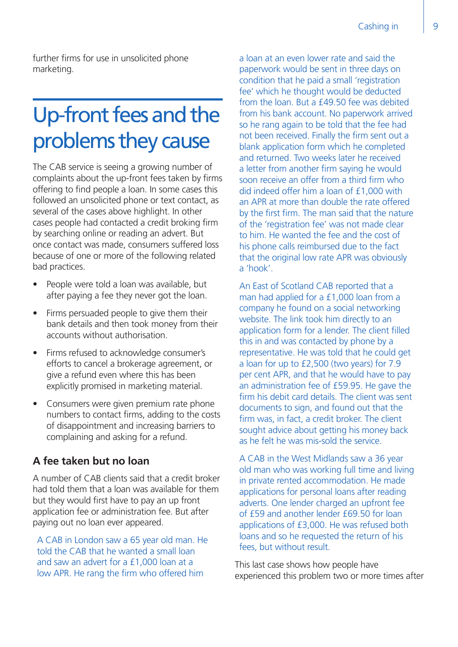further firms for use in unsolicited phone marketing.

### Up-front fees and the problems they cause

The CAB service is seeing a growing number of complaints about the up-front fees taken by firms offering to find people a loan. In some cases this followed an unsolicited phone or text contact, as several of the cases above highlight. In other cases people had contacted a credit broking firm by searching online or reading an advert. But once contact was made, consumers suffered loss because of one or more of the following related bad practices.

- People were told a loan was available, but after paying a fee they never got the loan.
- Firms persuaded people to give them their bank details and then took money from their accounts without authorisation.
- Firms refused to acknowledge consumer's efforts to cancel a brokerage agreement, or give a refund even where this has been explicitly promised in marketing material.
- Consumers were given premium rate phone numbers to contact firms, adding to the costs of disappointment and increasing barriers to complaining and asking for a refund.

#### **A fee taken but no loan**

A number of CAB clients said that a credit broker had told them that a loan was available for them but they would first have to pay an up front application fee or administration fee. But after paying out no loan ever appeared.

A CAB in London saw a 65 year old man. He told the CAB that he wanted a small loan and saw an advert for a £1,000 loan at a low APR. He rang the firm who offered him

a loan at an even lower rate and said the paperwork would be sent in three days on condition that he paid a small 'registration fee' which he thought would be deducted from the loan. But a £49.50 fee was debited from his bank account. No paperwork arrived so he rang again to be told that the fee had not been received. Finally the firm sent out a blank application form which he completed and returned. Two weeks later he received a letter from another firm saying he would soon receive an offer from a third firm who did indeed offer him a loan of £1,000 with an APR at more than double the rate offered by the first firm. The man said that the nature of the 'registration fee' was not made clear to him. He wanted the fee and the cost of his phone calls reimbursed due to the fact that the original low rate APR was obviously a 'hook'.

An East of Scotland CAB reported that a man had applied for a £1,000 loan from a company he found on a social networking website. The link took him directly to an application form for a lender. The client filled this in and was contacted by phone by a representative. He was told that he could get a loan for up to £2,500 (two years) for 7.9 per cent APR, and that he would have to pay an administration fee of £59.95. He gave the firm his debit card details. The client was sent documents to sign, and found out that the firm was, in fact, a credit broker. The client sought advice about getting his money back as he felt he was mis-sold the service.

A CAB in the West Midlands saw a 36 year old man who was working full time and living in private rented accommodation. He made applications for personal loans after reading adverts. One lender charged an upfront fee of £59 and another lender £69.50 for loan applications of £3,000. He was refused both loans and so he requested the return of his fees, but without result.

This last case shows how people have experienced this problem two or more times after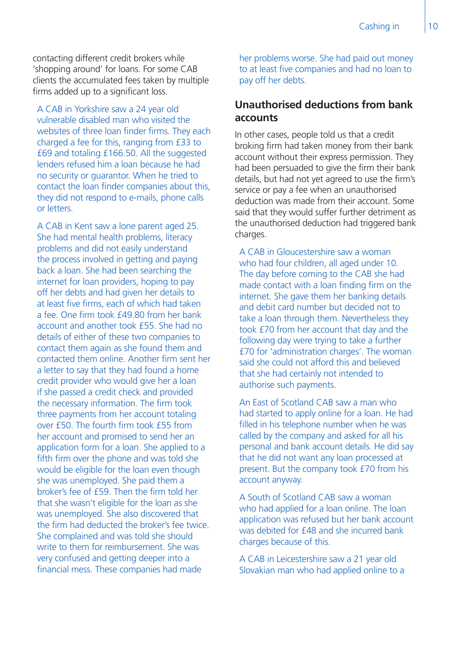contacting different credit brokers while 'shopping around' for loans. For some CAB clients the accumulated fees taken by multiple firms added up to a significant loss.

A CAB in Yorkshire saw a 24 year old vulnerable disabled man who visited the websites of three loan finder firms. They each charged a fee for this, ranging from £33 to £69 and totaling £166.50. All the suggested lenders refused him a loan because he had no security or guarantor. When he tried to contact the loan finder companies about this, they did not respond to e-mails, phone calls or letters.

A CAB in Kent saw a lone parent aged 25. She had mental health problems, literacy problems and did not easily understand the process involved in getting and paying back a loan. She had been searching the internet for loan providers, hoping to pay off her debts and had given her details to at least five firms, each of which had taken a fee. One firm took £49.80 from her bank account and another took £55. She had no details of either of these two companies to contact them again as she found them and contacted them online. Another firm sent her a letter to say that they had found a home credit provider who would give her a loan if she passed a credit check and provided the necessary information. The firm took three payments from her account totaling over £50. The fourth firm took £55 from her account and promised to send her an application form for a loan. She applied to a fifth firm over the phone and was told she would be eligible for the loan even though she was unemployed. She paid them a broker's fee of £59. Then the firm told her that she wasn't eligible for the loan as she was unemployed. She also discovered that the firm had deducted the broker's fee twice. She complained and was told she should write to them for reimbursement. She was very confused and getting deeper into a financial mess. These companies had made

her problems worse. She had paid out money to at least five companies and had no loan to pay off her debts.

#### **Unauthorised deductions from bank accounts**

In other cases, people told us that a credit broking firm had taken money from their bank account without their express permission. They had been persuaded to give the firm their bank details, but had not yet agreed to use the firm's service or pay a fee when an unauthorised deduction was made from their account. Some said that they would suffer further detriment as the unauthorised deduction had triggered bank charges.

A CAB in Gloucestershire saw a woman who had four children, all aged under 10. The day before coming to the CAB she had made contact with a loan finding firm on the internet. She gave them her banking details and debit card number but decided not to take a loan through them. Nevertheless they took £70 from her account that day and the following day were trying to take a further £70 for 'administration charges'. The woman said she could not afford this and believed that she had certainly not intended to authorise such payments.

An East of Scotland CAB saw a man who had started to apply online for a loan. He had filled in his telephone number when he was called by the company and asked for all his personal and bank account details. He did say that he did not want any loan processed at present. But the company took £70 from his account anyway.

A South of Scotland CAB saw a woman who had applied for a loan online. The loan application was refused but her bank account was debited for £48 and she incurred bank charges because of this.

A CAB in Leicestershire saw a 21 year old Slovakian man who had applied online to a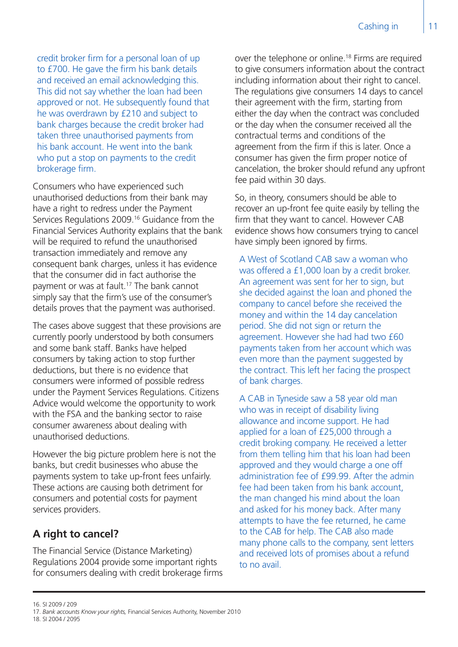credit broker firm for a personal loan of up to £700. He gave the firm his bank details and received an email acknowledging this. This did not say whether the loan had been approved or not. He subsequently found that he was overdrawn by £210 and subject to bank charges because the credit broker had taken three unauthorised payments from his bank account. He went into the bank who put a stop on payments to the credit brokerage firm.

Consumers who have experienced such unauthorised deductions from their bank may have a right to redress under the Payment Services Regulations 2009.<sup>16</sup> Guidance from the Financial Services Authority explains that the bank will be required to refund the unauthorised transaction immediately and remove any consequent bank charges, unless it has evidence that the consumer did in fact authorise the payment or was at fault.17 The bank cannot simply say that the firm's use of the consumer's details proves that the payment was authorised.

The cases above suggest that these provisions are currently poorly understood by both consumers and some bank staff. Banks have helped consumers by taking action to stop further deductions, but there is no evidence that consumers were informed of possible redress under the Payment Services Regulations. Citizens Advice would welcome the opportunity to work with the FSA and the banking sector to raise consumer awareness about dealing with unauthorised deductions.

However the big picture problem here is not the banks, but credit businesses who abuse the payments system to take up-front fees unfairly. These actions are causing both detriment for consumers and potential costs for payment services providers.

#### **A right to cancel?**

The Financial Service (Distance Marketing) Regulations 2004 provide some important rights for consumers dealing with credit brokerage firms over the telephone or online.18 Firms are required to give consumers information about the contract including information about their right to cancel. The regulations give consumers 14 days to cancel their agreement with the firm, starting from either the day when the contract was concluded or the day when the consumer received all the contractual terms and conditions of the agreement from the firm if this is later. Once a consumer has given the firm proper notice of cancelation, the broker should refund any upfront fee paid within 30 days.

So, in theory, consumers should be able to recover an up-front fee quite easily by telling the firm that they want to cancel. However CAB evidence shows how consumers trying to cancel have simply been ignored by firms.

A West of Scotland CAB saw a woman who was offered a £1,000 loan by a credit broker. An agreement was sent for her to sign, but she decided against the loan and phoned the company to cancel before she received the money and within the 14 day cancelation period. She did not sign or return the agreement. However she had had two £60 payments taken from her account which was even more than the payment suggested by the contract. This left her facing the prospect of bank charges.

A CAB in Tyneside saw a 58 year old man who was in receipt of disability living allowance and income support. He had applied for a loan of £25,000 through a credit broking company. He received a letter from them telling him that his loan had been approved and they would charge a one off administration fee of £99.99. After the admin fee had been taken from his bank account, the man changed his mind about the loan and asked for his money back. After many attempts to have the fee returned, he came to the CAB for help. The CAB also made many phone calls to the company, sent letters and received lots of promises about a refund to no avail.

- 17. *Bank accounts Know your rights,* Financial Services Authority, November 2010
- 18. SI 2004 / 2095

<sup>16.</sup> SI 2009 / 209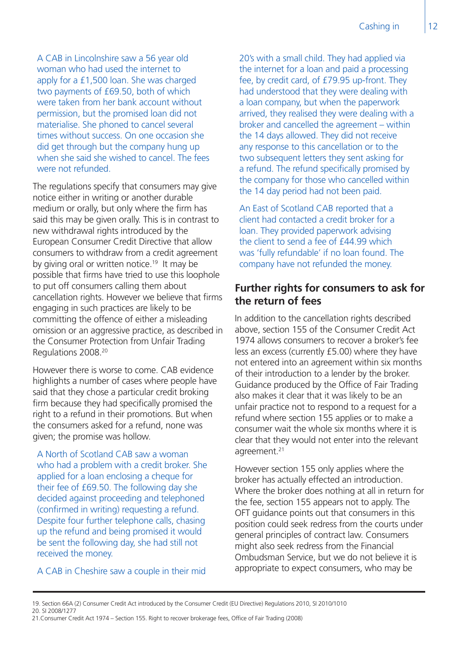A CAB in Lincolnshire saw a 56 year old woman who had used the internet to apply for a £1,500 loan. She was charged two payments of £69.50, both of which were taken from her bank account without permission, but the promised loan did not materialise. She phoned to cancel several times without success. On one occasion she did get through but the company hung up when she said she wished to cancel. The fees were not refunded.

The regulations specify that consumers may give notice either in writing or another durable medium or orally, but only where the firm has said this may be given orally. This is in contrast to new withdrawal rights introduced by the European Consumer Credit Directive that allow consumers to withdraw from a credit agreement by giving oral or written notice.<sup>19</sup> It may be possible that firms have tried to use this loophole to put off consumers calling them about cancellation rights. However we believe that firms engaging in such practices are likely to be committing the offence of either a misleading omission or an aggressive practice, as described in the Consumer Protection from Unfair Trading Regulations 2008.20

However there is worse to come. CAB evidence highlights a number of cases where people have said that they chose a particular credit broking firm because they had specifically promised the right to a refund in their promotions. But when the consumers asked for a refund, none was given; the promise was hollow.

A North of Scotland CAB saw a woman who had a problem with a credit broker. She applied for a loan enclosing a cheque for their fee of £69.50. The following day she decided against proceeding and telephoned (confirmed in writing) requesting a refund. Despite four further telephone calls, chasing up the refund and being promised it would be sent the following day, she had still not received the money.

A CAB in Cheshire saw a couple in their mid

20's with a small child. They had applied via the internet for a loan and paid a processing fee, by credit card, of £79.95 up-front. They had understood that they were dealing with a loan company, but when the paperwork arrived, they realised they were dealing with a broker and cancelled the agreement – within the 14 days allowed. They did not receive any response to this cancellation or to the two subsequent letters they sent asking for a refund. The refund specifically promised by the company for those who cancelled within the 14 day period had not been paid.

An East of Scotland CAB reported that a client had contacted a credit broker for a loan. They provided paperwork advising the client to send a fee of £44.99 which was 'fully refundable' if no loan found. The company have not refunded the money.

#### **Further rights for consumers to ask for the return of fees**

In addition to the cancellation rights described above, section 155 of the Consumer Credit Act 1974 allows consumers to recover a broker's fee less an excess (currently £5.00) where they have not entered into an agreement within six months of their introduction to a lender by the broker. Guidance produced by the Office of Fair Trading also makes it clear that it was likely to be an unfair practice not to respond to a request for a refund where section 155 applies or to make a consumer wait the whole six months where it is clear that they would not enter into the relevant agreement.<sup>21</sup>

However section 155 only applies where the broker has actually effected an introduction. Where the broker does nothing at all in return for the fee, section 155 appears not to apply. The OFT guidance points out that consumers in this position could seek redress from the courts under general principles of contract law. Consumers might also seek redress from the Financial Ombudsman Service, but we do not believe it is appropriate to expect consumers, who may be

20. SI 2008/1277

<sup>19.</sup> Section 66A (2) Consumer Credit Act introduced by the Consumer Credit (EU Directive) Regulations 2010, SI 2010/1010

<sup>21.</sup>Consumer Credit Act 1974 – Section 155. Right to recover brokerage fees, Office of Fair Trading (2008)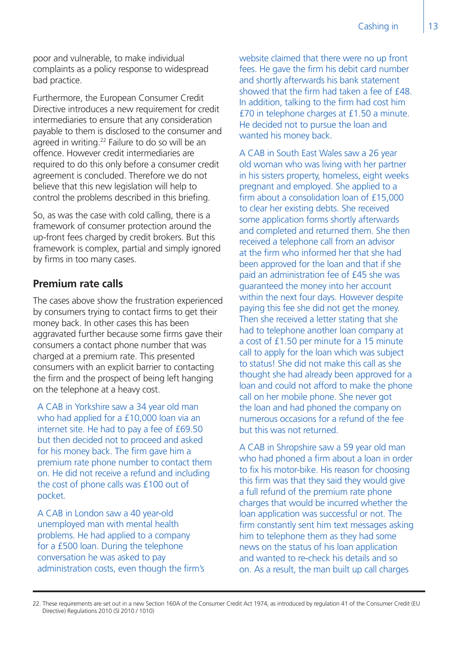poor and vulnerable, to make individual complaints as a policy response to widespread bad practice.

Furthermore, the European Consumer Credit Directive introduces a new requirement for credit intermediaries to ensure that any consideration payable to them is disclosed to the consumer and agreed in writing.<sup>22</sup> Failure to do so will be an offence. However credit intermediaries are required to do this only before a consumer credit agreement is concluded. Therefore we do not believe that this new legislation will help to control the problems described in this briefing.

So, as was the case with cold calling, there is a framework of consumer protection around the up-front fees charged by credit brokers. But this framework is complex, partial and simply ignored by firms in too many cases.

#### **Premium rate calls**

The cases above show the frustration experienced by consumers trying to contact firms to get their money back. In other cases this has been aggravated further because some firms gave their consumers a contact phone number that was charged at a premium rate. This presented consumers with an explicit barrier to contacting the firm and the prospect of being left hanging on the telephone at a heavy cost.

A CAB in Yorkshire saw a 34 year old man who had applied for a £10,000 loan via an internet site. He had to pay a fee of £69.50 but then decided not to proceed and asked for his money back. The firm gave him a premium rate phone number to contact them on. He did not receive a refund and including the cost of phone calls was £100 out of pocket.

A CAB in London saw a 40 year-old unemployed man with mental health problems. He had applied to a company for a £500 loan. During the telephone conversation he was asked to pay administration costs, even though the firm's website claimed that there were no up front fees. He gave the firm his debit card number and shortly afterwards his bank statement showed that the firm had taken a fee of £48. In addition, talking to the firm had cost him £70 in telephone charges at £1.50 a minute. He decided not to pursue the loan and wanted his money back.

A CAB in South East Wales saw a 26 year old woman who was living with her partner in his sisters property, homeless, eight weeks pregnant and employed. She applied to a firm about a consolidation loan of £15,000 to clear her existing debts. She received some application forms shortly afterwards and completed and returned them. She then received a telephone call from an advisor at the firm who informed her that she had been approved for the loan and that if she paid an administration fee of £45 she was guaranteed the money into her account within the next four days. However despite paying this fee she did not get the money. Then she received a letter stating that she had to telephone another loan company at a cost of £1.50 per minute for a 15 minute call to apply for the loan which was subject to status! She did not make this call as she thought she had already been approved for a loan and could not afford to make the phone call on her mobile phone. She never got the loan and had phoned the company on numerous occasions for a refund of the fee but this was not returned.

A CAB in Shropshire saw a 59 year old man who had phoned a firm about a loan in order to fix his motor-bike. His reason for choosing this firm was that they said they would give a full refund of the premium rate phone charges that would be incurred whether the loan application was successful or not. The firm constantly sent him text messages asking him to telephone them as they had some news on the status of his loan application and wanted to re-check his details and so on. As a result, the man built up call charges

<sup>22.</sup> These requirements are set out in a new Section 160A of the Consumer Credit Act 1974, as introduced by regulation 41 of the Consumer Credit (EU Directive) Regulations 2010 (SI 2010 / 1010)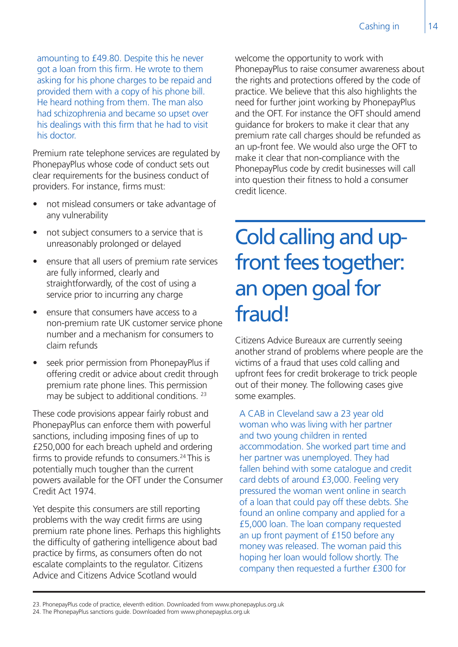amounting to £49.80. Despite this he never got a loan from this firm. He wrote to them asking for his phone charges to be repaid and provided them with a copy of his phone bill. He heard nothing from them. The man also had schizophrenia and became so upset over his dealings with this firm that he had to visit his doctor.

Premium rate telephone services are regulated by PhonepayPlus whose code of conduct sets out clear requirements for the business conduct of providers. For instance, firms must:

- not mislead consumers or take advantage of any vulnerability
- not subject consumers to a service that is unreasonably prolonged or delayed
- ensure that all users of premium rate services are fully informed, clearly and straightforwardly, of the cost of using a service prior to incurring any charge
- ensure that consumers have access to a non-premium rate UK customer service phone number and a mechanism for consumers to claim refunds
- seek prior permission from PhonepayPlus if offering credit or advice about credit through premium rate phone lines. This permission may be subject to additional conditions. <sup>23</sup>

These code provisions appear fairly robust and PhonepayPlus can enforce them with powerful sanctions, including imposing fines of up to £250,000 for each breach upheld and ordering firms to provide refunds to consumers.24 This is potentially much tougher than the current powers available for the OFT under the Consumer Credit Act 1974.

Yet despite this consumers are still reporting problems with the way credit firms are using premium rate phone lines. Perhaps this highlights the difficulty of gathering intelligence about bad practice by firms, as consumers often do not escalate complaints to the regulator. Citizens Advice and Citizens Advice Scotland would

welcome the opportunity to work with PhonepayPlus to raise consumer awareness about the rights and protections offered by the code of practice. We believe that this also highlights the need for further joint working by PhonepayPlus and the OFT. For instance the OFT should amend guidance for brokers to make it clear that any premium rate call charges should be refunded as an up-front fee. We would also urge the OFT to make it clear that non-compliance with the PhonepayPlus code by credit businesses will call into question their fitness to hold a consumer credit licence.

### Cold calling and upfront fees together: an open goal for fraud!

Citizens Advice Bureaux are currently seeing another strand of problems where people are the victims of a fraud that uses cold calling and upfront fees for credit brokerage to trick people out of their money. The following cases give some examples.

A CAB in Cleveland saw a 23 year old woman who was living with her partner and two young children in rented accommodation. She worked part time and her partner was unemployed. They had fallen behind with some catalogue and credit card debts of around £3,000. Feeling very pressured the woman went online in search of a loan that could pay off these debts. She found an online company and applied for a £5,000 loan. The loan company requested an up front payment of £150 before any money was released. The woman paid this hoping her loan would follow shortly. The company then requested a further £300 for

<sup>23.</sup> PhonepayPlus code of practice, eleventh edition. Downloaded from www.phonepayplus.org.uk

<sup>24.</sup> The PhonepayPlus sanctions guide. Downloaded from www.phonepayplus.org.uk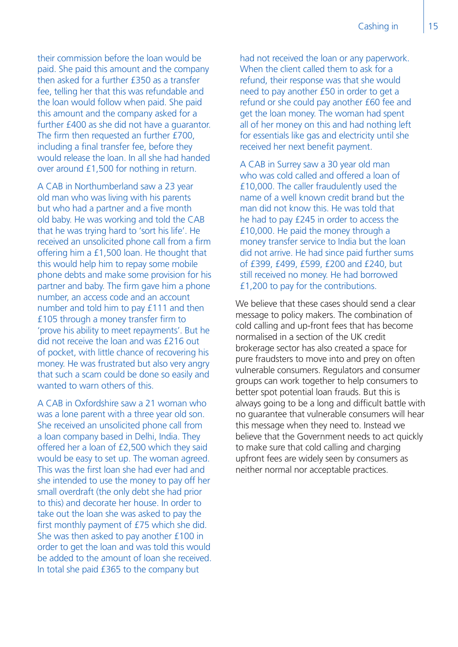their commission before the loan would be paid. She paid this amount and the company then asked for a further £350 as a transfer fee, telling her that this was refundable and the loan would follow when paid. She paid this amount and the company asked for a further £400 as she did not have a guarantor. The firm then requested an further £700, including a final transfer fee, before they would release the loan. In all she had handed over around £1,500 for nothing in return.

A CAB in Northumberland saw a 23 year old man who was living with his parents but who had a partner and a five month old baby. He was working and told the CAB that he was trying hard to 'sort his life'. He received an unsolicited phone call from a firm offering him a £1,500 loan. He thought that this would help him to repay some mobile phone debts and make some provision for his partner and baby. The firm gave him a phone number, an access code and an account number and told him to pay £111 and then £105 through a money transfer firm to 'prove his ability to meet repayments'. But he did not receive the loan and was £216 out of pocket, with little chance of recovering his money. He was frustrated but also very angry that such a scam could be done so easily and wanted to warn others of this.

A CAB in Oxfordshire saw a 21 woman who was a lone parent with a three year old son. She received an unsolicited phone call from a loan company based in Delhi, India. They offered her a loan of £2,500 which they said would be easy to set up. The woman agreed. This was the first loan she had ever had and she intended to use the money to pay off her small overdraft (the only debt she had prior to this) and decorate her house. In order to take out the loan she was asked to pay the first monthly payment of £75 which she did. She was then asked to pay another £100 in order to get the loan and was told this would be added to the amount of loan she received. In total she paid £365 to the company but

had not received the loan or any paperwork. When the client called them to ask for a refund, their response was that she would need to pay another £50 in order to get a refund or she could pay another £60 fee and get the loan money. The woman had spent all of her money on this and had nothing left for essentials like gas and electricity until she received her next benefit payment.

A CAB in Surrey saw a 30 year old man who was cold called and offered a loan of £10,000. The caller fraudulently used the name of a well known credit brand but the man did not know this. He was told that he had to pay £245 in order to access the £10,000. He paid the money through a money transfer service to India but the loan did not arrive. He had since paid further sums of £399, £499, £599, £200 and £240, but still received no money. He had borrowed £1,200 to pay for the contributions.

We believe that these cases should send a clear message to policy makers. The combination of cold calling and up-front fees that has become normalised in a section of the UK credit brokerage sector has also created a space for pure fraudsters to move into and prey on often vulnerable consumers. Regulators and consumer groups can work together to help consumers to better spot potential loan frauds. But this is always going to be a long and difficult battle with no guarantee that vulnerable consumers will hear this message when they need to. Instead we believe that the Government needs to act quickly to make sure that cold calling and charging upfront fees are widely seen by consumers as neither normal nor acceptable practices.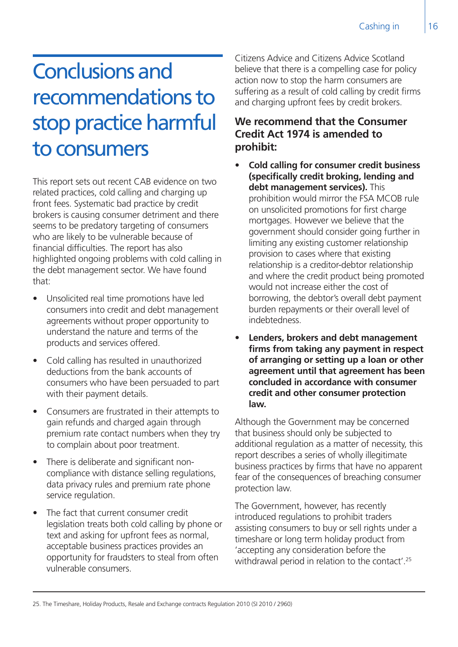## Conclusions and recommendations to stop practice harmful to consumers

This report sets out recent CAB evidence on two related practices, cold calling and charging up front fees. Systematic bad practice by credit brokers is causing consumer detriment and there seems to be predatory targeting of consumers who are likely to be vulnerable because of financial difficulties. The report has also highlighted ongoing problems with cold calling in the debt management sector. We have found that:

- Unsolicited real time promotions have led consumers into credit and debt management agreements without proper opportunity to understand the nature and terms of the products and services offered.
- Cold calling has resulted in unauthorized deductions from the bank accounts of consumers who have been persuaded to part with their payment details.
- Consumers are frustrated in their attempts to gain refunds and charged again through premium rate contact numbers when they try to complain about poor treatment.
- There is deliberate and significant noncompliance with distance selling regulations, data privacy rules and premium rate phone service regulation.
- The fact that current consumer credit legislation treats both cold calling by phone or text and asking for upfront fees as normal, acceptable business practices provides an opportunity for fraudsters to steal from often vulnerable consumers.

Citizens Advice and Citizens Advice Scotland believe that there is a compelling case for policy action now to stop the harm consumers are suffering as a result of cold calling by credit firms and charging upfront fees by credit brokers.

#### **We recommend that the Consumer Credit Act 1974 is amended to prohibit:**

- **• Cold calling for consumer credit business (specifically credit broking, lending and debt management services).** This prohibition would mirror the FSA MCOB rule on unsolicited promotions for first charge mortgages. However we believe that the government should consider going further in limiting any existing customer relationship provision to cases where that existing relationship is a creditor-debtor relationship and where the credit product being promoted would not increase either the cost of borrowing, the debtor's overall debt payment burden repayments or their overall level of indebtedness.
- **• Lenders, brokers and debt management firms from taking any payment in respect of arranging or setting up a loan or other agreement until that agreement has been concluded in accordance with consumer credit and other consumer protection law.**

Although the Government may be concerned that business should only be subjected to additional regulation as a matter of necessity, this report describes a series of wholly illegitimate business practices by firms that have no apparent fear of the consequences of breaching consumer protection law.

The Government, however, has recently introduced regulations to prohibit traders assisting consumers to buy or sell rights under a timeshare or long term holiday product from 'accepting any consideration before the withdrawal period in relation to the contact'.<sup>25</sup>

<sup>25.</sup> The Timeshare, Holiday Products, Resale and Exchange contracts Regulation 2010 (SI 2010 / 2960)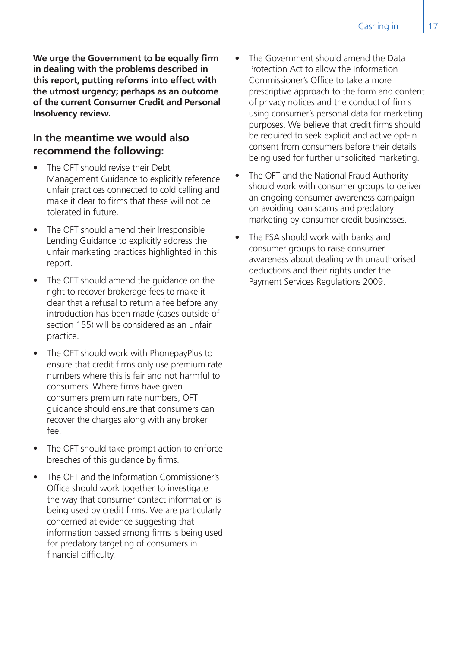**We urge the Government to be equally firm in dealing with the problems described in this report, putting reforms into effect with the utmost urgency; perhaps as an outcome of the current Consumer Credit and Personal Insolvency review.** 

#### **In the meantime we would also recommend the following:**

- The OFT should revise their Debt Management Guidance to explicitly reference unfair practices connected to cold calling and make it clear to firms that these will not be tolerated in future.
- The OFT should amend their Irresponsible Lending Guidance to explicitly address the unfair marketing practices highlighted in this report.
- The OFT should amend the guidance on the right to recover brokerage fees to make it clear that a refusal to return a fee before any introduction has been made (cases outside of section 155) will be considered as an unfair practice.
- The OFT should work with PhonepayPlus to ensure that credit firms only use premium rate numbers where this is fair and not harmful to consumers. Where firms have given consumers premium rate numbers, OFT guidance should ensure that consumers can recover the charges along with any broker fee.
- The OFT should take prompt action to enforce breeches of this guidance by firms.
- The OFT and the Information Commissioner's Office should work together to investigate the way that consumer contact information is being used by credit firms. We are particularly concerned at evidence suggesting that information passed among firms is being used for predatory targeting of consumers in financial difficulty.
- The Government should amend the Data Protection Act to allow the Information Commissioner's Office to take a more prescriptive approach to the form and content of privacy notices and the conduct of firms using consumer's personal data for marketing purposes. We believe that credit firms should be required to seek explicit and active opt-in consent from consumers before their details being used for further unsolicited marketing.
- The OFT and the National Fraud Authority should work with consumer groups to deliver an ongoing consumer awareness campaign on avoiding loan scams and predatory marketing by consumer credit businesses.
- The FSA should work with banks and consumer groups to raise consumer awareness about dealing with unauthorised deductions and their rights under the Payment Services Regulations 2009.